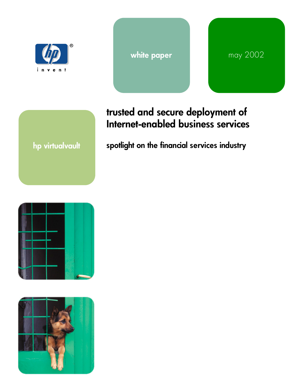

white paper and may 2002

# trusted and secure deployment of Internet-enabled business services

spotlight on the financial services industry



hp virtualvault

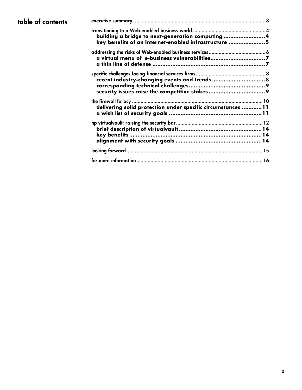| table of contents |                                                              |  |
|-------------------|--------------------------------------------------------------|--|
|                   |                                                              |  |
|                   | building a bridge to next-generation computing  4            |  |
|                   | key benefits of an Internet-enabled infrastructure  5        |  |
|                   |                                                              |  |
|                   |                                                              |  |
|                   |                                                              |  |
|                   |                                                              |  |
|                   | recent industry-changing events and trends  8                |  |
|                   |                                                              |  |
|                   | security issues raise the competitive stakes  9              |  |
|                   |                                                              |  |
|                   | delivering solid protection under specific circumstances  11 |  |
|                   |                                                              |  |
|                   |                                                              |  |
|                   |                                                              |  |
|                   |                                                              |  |
|                   |                                                              |  |
|                   |                                                              |  |
|                   |                                                              |  |
|                   |                                                              |  |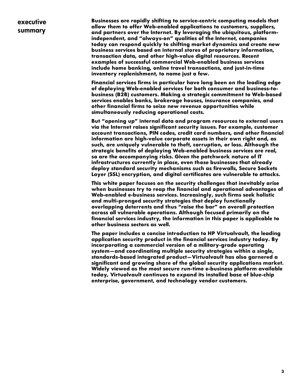## executive summary

**Businesses are rapidly shifting to service-centric computing models that allow them to offer Web-enabled applications to customers, suppliers, and partners over the Internet. By leveraging the ubiquitous, platformindependent, and "always-on" qualities of the Internet, companies today can respond quickly to shifting market dynamics and create new business services based on internal stores of proprietary information, transaction data, and other high-value digital resources. Recent examples of successful commercial Web-enabled business services include home banking, online travel transactions, and just-in-time inventory replenishment, to name just a few.**

**Financial services firms in particular have long been on the leading edge of deploying Web-enabled services for both consumer and business-tobusiness (B2B) customers. Making a strategic commitment to Web-based services enables banks, brokerage houses, insurance companies, and other financial firms to seize new revenue opportunities while simultaneously reducing operational costs.**

**But "opening up" internal data and program resources to external users via the Internet raises significant security issues. For example, customer account transactions, PIN codes, credit card numbers, and other financial information are high-value corporate assets in their own right and, as such, are uniquely vulnerable to theft, corruption, or loss. Although the strategic benefits of deploying Web-enabled business services are real, so are the accompanying risks. Given the patchwork nature of IT infrastructures currently in place, even those businesses that already deploy standard security mechanisms such as firewalls, Secure Sockets Layer (SSL) encryption, and digital certificates are vulnerable to attacks.**

**This white paper focuses on the security challenges that inevitably arise when businesses try to reap the financial and operational advantages of Web-enabled e-business services. Increasingly, such firms seek holistic and multi-pronged security strategies that deploy functionally overlapping deterrents and thus "raise the bar" on overall protection across all vulnerable operations. Although focused primarily on the financial services industry, the information in this paper is applicable to other business sectors as well.**

**The paper includes a concise introduction to HP Virtualvault, the leading application security product in the financial services industry today. By incorporating a commercial version of a military-grade operating system—and coordinating multiple security strategies within a single, standards-based integrated product—Virtualvault has also garnered a significant and growing share of the global security applications market. Widely viewed as the most secure run-time e-business platform available today, Virtualvault continues to expand its installed base of blue-chip enterprise, government, and technology vendor customers.**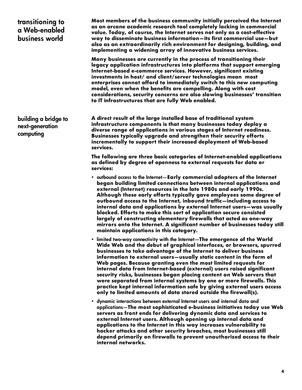## transitioning to a Web-enabled business world

### building a bridge to next-generation computing

**Most members of the business community initially perceived the Internet as an arcane academic research tool completely lacking in commercial value. Today, of course, the Internet serves not only as a cost-effective way to disseminate business information—its first commercial use—but also as an extraordinarily rich environment for designing, building, and implementing a widening array of innovative business services.**

**Many businesses are currently in the process of transitioning their legacy application infrastructures into platforms that support emerging Internet-based e-commerce services. However, significant existing investments in host/ and client/server technologies mean most enterprises cannot afford to immediately switch to this new computing model, even when the benefits are compelling. Along with cost considerations, security concerns are also slowing businesses' transition to IT infrastructures that are fully Web enabled.**

**A direct result of the large installed base of traditional system infrastructure components is that many businesses today deploy a diverse range of applications in various stages of Internet readiness. Businesses typically upgrade and strengthen their security efforts incrementally to support their increased deployment of Web-based services.**

**The following are three basic categories of Internet-enabled applications as defined by degree of openness to external requests for data or services:**

- outbound access to the Internet—**Early commercial adopters of the Internet began building limited connections between internal applications and external (Internet) resources in the late 1980s and early 1990s. Although these early efforts typically gave employees some degree of outbound access to the Internet, inbound traffic—including access to internal data and applications by external Internet users—was usually blocked. Efforts to make this sort of application secure consisted largely of constructing elementary firewalls that acted as one-way mirrors onto the Internet. A significant number of businesses today still maintain applications in this category.**
- limited two-way connectivity with the Internet—**The emergence of the World Wide Web and the debut of graphical interfaces, or browsers, spurred businesses to take advantage of the Internet to deliver business information to external users—usually static content in the form of Web pages. Because granting even the most limited requests for internal data from Internet-based (external) users raised significant security risks, businesses began placing content on Web servers that were separated from internal systems by one or more firewalls. This practice kept internal information safe by giving external users access only to limited amounts of data stored outside the firewall(s).**
- dynamic interactions between external Internet users and internal data and applications—**The most sophisticated e-business initiatives today use Web servers as front ends for delivering dynamic data and services to external Internet users. Although opening up internal data and applications to the Internet in this way increases vulnerability to hacker attacks and other security breaches, most businesses still depend primarily on firewalls to prevent unauthorized access to their internal networks.**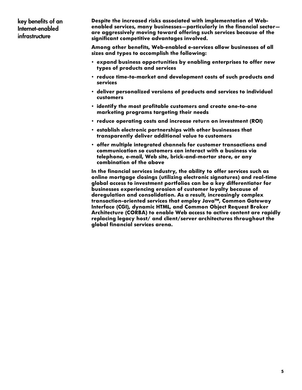### key benefits of an Internet-enabled infrastructure

**Despite the increased risks associated with implementation of Webenabled services, many businesses—particularly in the financial sector are aggressively moving toward offering such services because of the significant competitive advantages involved.**

**Among other benefits, Web-enabled e-services allow businesses of all sizes and types to accomplish the following:**

- **expand business opportunities by enabling enterprises to offer new types of products and services**
- **reduce time-to-market and development costs of such products and services**
- **deliver personalized versions of products and services to individual customers**
- **identify the most profitable customers and create one-to-one marketing programs targeting their needs**
- **reduce operating costs and increase return on investment (ROI)**
- **establish electronic partnerships with other businesses that transparently deliver additional value to customers**
- **offer multiple integrated channels for customer transactions and communication so customers can interact with a business via telephone, e-mail, Web site, brick-and-mortar store, or any combination of the above**

**In the financial services industry, the ability to offer services such as online mortgage closings (utilizing electronic signatures) and real-time global access to investment portfolios can be a key differentiator for businesses experiencing erosion of customer loyalty because of deregulation and consolidation. As a result, increasingly complex transaction-oriented services that employ Java™, Common Gateway Interface (CGI), dynamic HTML, and Common Object Request Broker Architecture (CORBA) to enable Web access to active content are rapidly replacing legacy host/ and client/server architectures throughout the global financial services arena.**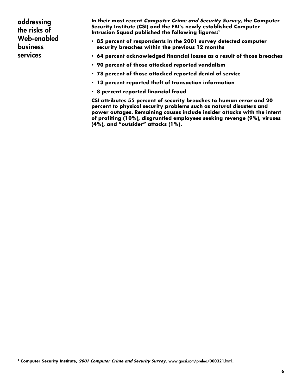## addressing the risks of Web-enabled **business** services

**In their most recent Computer Crime and Security Survey, the Computer Security Institute (CSI) and the FBI's newly established Computer Intrusion Squad published the following figures: 1**

- **85 percent of respondents in the 2001 survey detected computer security breaches within the previous 12 months**
- **64 percent acknowledged financial losses as a result of those breaches**
- **90 percent of those attacked reported vandalism**
- **78 percent of those attacked reported denial of service**
- **13 percent reported theft of transaction information**
- **8 percent reported financial fraud**

**CSI attributes 55 percent of security breaches to human error and 20 percent to physical security problems such as natural disasters and power outages. Remaining causes include insider attacks with the intent of profiting (10%), disgruntled employees seeking revenge (9%), viruses (4%), and "outsider" attacks (1%).**

 **<sup>1</sup> Computer Security Institute, <sup>2001</sup> Computer Crime and Security Survey,** www.gocsi.com/prelea/000321.html**.**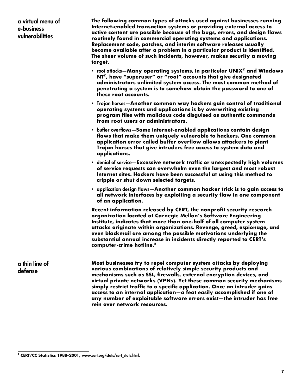a virtual menu of e-business vulnerabilities

**The following common types of attacks used against businesses running Internet-enabled transaction systems or providing external access to active content are possible because of the bugs, errors, and design flaws routinely found in commercial operating systems and applications. Replacement code, patches, and interim software releases usually become available after a problem in a particular product is identified. The sheer volume of such incidents, however, makes security a moving target.**

- root attacks—**Many operating systems, in particular UNIX® and Windows NT®, have "superuser" or "root" accounts that give designated administrators unlimited system access. The most common method of penetrating a system is to somehow obtain the password to one of these root accounts.**
- Trojan horses—**Another common way hackers gain control of traditional operating systems and applications is by overwriting existing program files with malicious code disguised as authentic commands from root users or administrators.**
- buffer overflows—**Some Internet-enabled applications contain design flaws that make them uniquely vulnerable to hackers. One common application error called buffer overflow allows attackers to plant Trojan horses that give intruders free access to system data and applications.**
- denial of service—**Excessive network traffic or unexpectedly high volumes of service requests can overwhelm even the largest and most robust Internet sites. Hackers have been successful at using this method to cripple or shut down selected targets.**
- application design flaws—**Another common hacker trick is to gain access to all network interfaces by exploiting a security flaw in one component of an application.**

**Recent information released by CERT, the nonprofit security research organization located at Carnegie Mellon's Software Engineering Institute, indicates that more than one-half of all computer system attacks originate within organizations. Revenge, greed, espionage, and even blackmail are among the possible motivations underlying the substantial annual increase in incidents directly reported to CERT's computer-crime hotline.2**

a thin line of defense **Most businesses try to repel computer system attacks by deploying various combinations of relatively simple security products and mechanisms such as SSL, firewalls, external encryption devices, and virtual private networks (VPNs). Yet these common security mechanisms simply restrict traffic to a specific application. Once an intruder gains access to an internal application—a feat easily accomplished if one of any number of exploitable software errors exist—the intruder has free rein over network resources.**

 **<sup>2</sup> CERT/CC Statistics 1988–2001,** www.cert.org/stats/cert\_stats.html**.**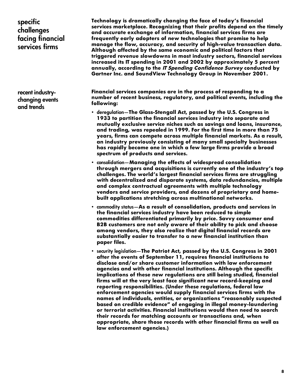## specific challenges facing financial services firms

recent industrychanging events and trends

**Technology is dramatically changing the face of today's financial services marketplace. Recognizing that their profits depend on the timely and accurate exchange of information, financial services firms are frequently early adopters of new technologies that promise to help manage the flow, accuracy, and security of high-value transaction data. Although affected by the same economic and political factors that triggered revenue slowdowns in most industry sectors, financial services increased its IT spending in 2001 and 2002 by approximately 5 percent annually, according to the IT Spending Confidence Survey conducted by Gartner Inc. and SoundView Technology Group in November 2001.**

**Financial services companies are in the process of responding to a number of recent business, regulatory, and political events, including the following:**

- deregulation—**The Glass-Stengall Act, passed by the U.S. Congress in 1933 to partition the financial services industry into separate and mutually exclusive service niches such as savings and loans, insurance, and trading, was repealed in 1999. For the first time in more than 75 years, firms can compete across multiple financial markets. As a result, an industry previously consisting of many small specialty businesses has rapidly become one in which a few large firms provide a broad spectrum of products and services.**
- consolidation—**Managing the effects of widespread consolidation through mergers and acquisitions is currently one of the industry's top challenges. The world's largest financial services firms are struggling with decentralized and disparate systems, data redundancies, multiple and complex contractual agreements with multiple technology vendors and service providers, and dozens of proprietary and homebuilt applications stretching across multinational networks.**
- commodity status—**As a result of consolidation, products and services in the financial services industry have been reduced to simple commodities differentiated primarily by price. Savvy consumer and B2B customers are not only aware of their ability to pick and choose among vendors, they also realize that digital financial records are substantially easier to transfer to a new financial institution than paper files.**
- security legislation—**The Patriot Act, passed by the U.S. Congress in 2001 after the events of September 11, requires financial institutions to disclose and/or share customer information with law enforcement agencies and with other financial institutions. Although the specific implications of these new regulations are still being studied, financial firms will at the very least face significant new record-keeping and reporting responsibilities. (Under these regulations, federal law enforcement agencies would supply financial services firms with the names of individuals, entities, or organizations "reasonably suspected based on credible evidence" of engaging in illegal money-laundering or terrorist activities. Financial institutions would then need to search their records for matching accounts or transactions and, when appropriate, share those records with other financial firms as well as law enforcement agencies.)**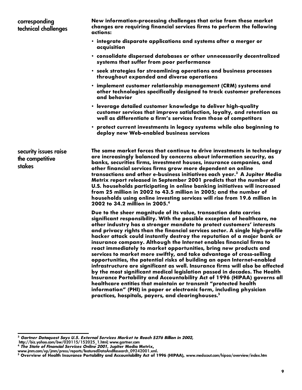#### corresponding technical challenges **New information-processing challenges that arise from these market changes are requiring financial services firms to perform the following actions:** • **integrate disparate applications and systems after a merger or acquisition** • **consolidate dispersed databases or other unnecessarily decentralized systems that suffer from poor performance** • **seek strategies for streamlining operations and business processes throughout expanded and diverse operations** • **implement customer relationship management (CRM) systems and other technologies specifically designed to track customer preferences and behavior** • **leverage detailed customer knowledge to deliver high-quality customer services that improve satisfaction, loyalty, and retention as well as differentiate a firm's services from those of competitors** • **protect current investments in legacy systems while also beginning to deploy new Web-enabled business services** security issues raise the competitive stakes **The same market forces that continue to drive investments in technology are increasingly balanced by concerns about information security, as banks, securities firms, investment houses, insurance companies, and other financial services firms grow more dependent on online transactions and other e-business initiatives each year. <sup>3</sup> A Jupiter Media Metrix report released in September 2001 predicts that the number of U.S. households participating in online banking initiatives will increased from 25 million in 2002 to 43.5 million in 2005; and the number of households using online investing services will rise from 19.6 million in 2002 to 34.2 million in 2005. 4 Due to the sheer magnitude of its value, transaction data carries significant responsibility. With the possible exception of healthcare, no other industry has a stronger mandate to protect customers' interests and privacy rights than the financial services sector. A single high-profile hacker attack could instantly destroy the reputation of a major bank or insurance company. Although the Internet enables financial firms to**

**react immediately to market opportunities, bring new products and services to market more swiftly, and take advantage of cross-selling opportunities, the potential risks of building an open Internet-enabled infrastructure are significant as well. Insurance firms will also be affected by the most significant medical legislation passed in decades. The Health Insurance Portability and Accountability Act of 1996 (HIPAA) governs all**

**healthcare entities that maintain or transmit "protected health information" (PHI) in paper or electronic form, including physician**

**practices, hospitals, payers, and clearinghouses. 5**

 **<sup>3</sup> Gartner Dataquest Says U.S. External Services Market to Reach \$276 Billion in <sup>2002</sup>,**

http://biz.yahoo.com/bw/020115/152025\_1.html; www.gartner.com

**<sup>4</sup> The State of Financial Services Online 2001, Jupiter Media Metrix,**

www.jmm.com/xp/jmm/press/reports/featuredDataAndResearch\_09242001.xml**.**

**<sup>5</sup> Overview of Health Insurance Portability and Accountability Act of 1996 (HIPAA),** www.medscout.com/hipaa/overview/index.htm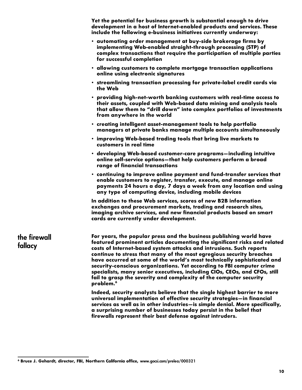**Yet the potential for business growth is substantial enough to drive development in a host of Internet-enabled products and services. These include the following e-business initiatives currently underway:**

| . automating order management at buy-side brokerage firms by            |
|-------------------------------------------------------------------------|
| implementing Web-enabled straight-through processing (STP) of           |
| complex transactions that require the participation of multiple parties |
| for successful completion                                               |

- **allowing customers to complete mortgage transaction applications online using electronic signatures**
- **streamlining transaction processing for private-label credit cards via the Web**
- **providing high-net-worth banking customers with real-time access to their assets, coupled with Web-based data mining and analysis tools that allow them to "drill down" into complex portfolios of investments from anywhere in the world**
- **creating intelligent asset-management tools to help portfolio managers at private banks manage multiple accounts simultaneously**
- **improving Web-based trading tools that bring live markets to customers in real time**
- **developing Web-based customer-care programs—including intuitive online self-service options—that help customers perform a broad range of financial transactions**
- **continuing to improve online payment and fund-transfer services that enable customers to register, transfer, execute, and manage online payments 24 hours a day, 7 days a week from any location and using any type of computing device, including mobile devices**

**In addition to these Web services, scores of new B2B information exchanges and procurement markets, trading and research sites, imaging archive services, and new financial products based on smart cards are currently under development.**

| the firewall<br>fallacy | For years, the popular press and the business publishing world have<br>featured prominent articles documenting the significant risks and related<br>costs of Internet-based system attacks and intrusions. Such reports<br>continue to stress that many of the most egregious security breaches<br>have occurred at some of the world's most technically sophisticated and<br>security-conscious organizations. Yet according to FBI computer crime<br>specialists, many senior executives, including CIOs, CEOs, and CFOs, still<br>fail to grasp the severity and complexity of the computer security<br>problem. <sup>6</sup> |
|-------------------------|----------------------------------------------------------------------------------------------------------------------------------------------------------------------------------------------------------------------------------------------------------------------------------------------------------------------------------------------------------------------------------------------------------------------------------------------------------------------------------------------------------------------------------------------------------------------------------------------------------------------------------|
|                         | Indeed, security analysts believe that the single highest barrier to more<br>universal implementation of effective security strategies-in financial<br>services as well as in other industries- is simple denial. More specifically,<br>a surprising number of businesses today persist in the belief that<br>firewalls represent their best defense against intruders.                                                                                                                                                                                                                                                          |

 **<sup>6</sup> Bruce J. Gehardt, director, FBI, Northern California office,** www.gocsi.com/prelea/000321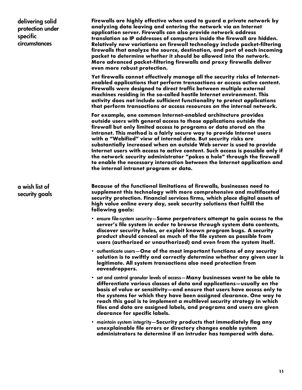| delivering solid<br>protection under<br>specific<br>circumstances | Firewalls are highly effective when used to guard a private network by<br>analyzing data leaving and entering the network via an Internet<br>application server. Firewalls can also provide network address<br>translation so IP addresses of computers inside the firewall are hidden.<br>Relatively new variations on firewall technology include packet-filtering<br>firewalls that analyze the source, destination, and port of each incoming<br>packet to determine whether it should be allowed into the network.<br>More advanced packet-filtering firewalls and proxy firewalls deliver<br>even more robust protection.                                                                                    |
|-------------------------------------------------------------------|--------------------------------------------------------------------------------------------------------------------------------------------------------------------------------------------------------------------------------------------------------------------------------------------------------------------------------------------------------------------------------------------------------------------------------------------------------------------------------------------------------------------------------------------------------------------------------------------------------------------------------------------------------------------------------------------------------------------|
|                                                                   | Yet firewalls cannot effectively manage all the security risks of Internet-<br>enabled applications that perform transactions or access active content.<br>Firewalls were designed to direct traffic between multiple external<br>machines residing in the so-called hostile Internet environment. This<br>activity does not include sufficient functionality to protect applications<br>that perform transactions or access resources on the internal network.                                                                                                                                                                                                                                                    |
|                                                                   | For example, one common Internet-enabled architecture provides<br>outside users with general access to those applications outside the<br>firewall but only limited access to programs or data stored on the<br>intranet. This method is a fairly secure way to provide Internet users<br>with a "Webified" view of internal data. But security risks are<br>substantially increased when an outside Web server is used to provide<br>Internet users with access to active content. Such access is possible only if<br>the network security administrator "pokes a hole" through the firewall<br>to enable the necessary interaction between the Internet application and<br>the internal intranet program or data. |
| a wish list of<br>security goals                                  | Because of the functional limitations of firewalls, businesses need to<br>supplement this technology with more comprehensive and multifaceted<br>security protection. Financial services firms, which place digital assets of<br>high value online every day, seek security solutions that fulfill the<br>following goals:                                                                                                                                                                                                                                                                                                                                                                                         |
|                                                                   | • ensure file-system security—Some perpetrators attempt to gain access to the<br>server's file system in order to browse through system data contents,<br>discover security holes, or exploit known program bugs. A security<br>product should conceal as much of the file system as possible from<br>users (authorized or unauthorized) and even from the system itself.                                                                                                                                                                                                                                                                                                                                          |
|                                                                   | • authenticate users—One of the most important functions of any security<br>solution is to swiftly and correctly determine whether any given user is<br>legitimate. All system transactions also need protection from<br>eavesdroppers.                                                                                                                                                                                                                                                                                                                                                                                                                                                                            |
|                                                                   | • set and control granular levels of access—Many businesses want to be able to<br>differentiate various classes of data and applications—usually on the<br>basis of value or sensitivity—and ensure that users have access only to<br>the systems for which they have been assigned clearance. One way to<br>reach this goal is to implement a multilevel security strategy in which<br>files and data are assigned labels, and programs and users are given<br>clearance for specific labels.                                                                                                                                                                                                                     |

• maintain system integrity—**Security products that immediately flag any unexplainable file errors or directory changes enable system administrators to determine if an intruder has tampered with data.**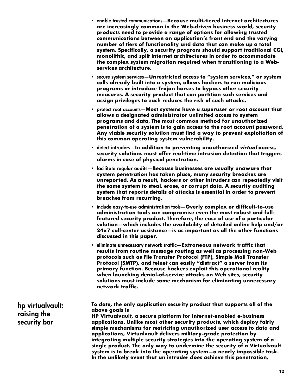- enable trusted communications—**Because multi-tiered Internet architectures are increasingly common in the Web-driven business world, security products need to provide a range of options for allowing trusted communications between an application's front end and the varying number of tiers of functionality and data that can make up a total system. Specifically, a security program should support traditional CGI, monolithic, and split Internet architectures in order to accommodate the complex system migration required when transitioning to a Webservices architecture.**
- secure system services—**Unrestricted access to "system services," or system calls already built into a system, allows hackers to run malicious programs or introduce Trojan horses to bypass other security measures. A security product that can partition such services and assign privileges to each reduces the risk of such attacks.**
- protect root accounts—**Most systems have a superuser or root account that allows a designated administrator unlimited access to system programs and data. The most common method for unauthorized penetration of a system is to gain access to the root account password. Any viable security solution must find a way to prevent exploitation of this common operating system vulnerability.**
- detect intruders—**In addition to preventing unauthorized virtual access, security solutions must offer real-time intrusion detection that triggers alarms in case of physical penetration.**
- facilitate regular audits—**Because businesses are usually unaware that system penetration has taken place, many security breaches are unreported. As a result, hackers or other intruders can repeatedly visit the same system to steal, erase, or corrupt data. A security auditing system that reports details of attacks is essential in order to prevent breaches from recurring.**
- include easy-to-use administration tools—**Overly complex or difficult-to-use administration tools can compromise even the most robust and fullfeatured security product. Therefore, the ease of use of a particular solution—which includes the availability of detailed online help and/or 24x7 call-center assistance—is as important as all the other functions discussed in this paper.**
- eliminate unnecessary network traffic—**Extraneous network traffic that results from routine message routing as well as processing non-Web protocols such as File Transfer Protocol (FTP), Simple Mail Transfer Protocol (SMTP), and telnet can easily "distract" a server from its primary function. Because hackers exploit this operational reality when launching denial-of-service attacks on Web sites, security solutions must include some mechanism for eliminating unnecessary network traffic.**

| hp virtualvault:<br>raising the<br>security bar | To date, the only application security product that supports all of the<br>above goals is<br>HP Virtualvault, a secure platform for Internet-enabled e-business<br>applications. Unlike most other security products, which deploy fairly<br>simple mechanisms for restricting unauthorized user access to data and<br>applications, Virtualvault delivers military-grade protection by<br>integrating multiple security strategies into the operating system of a<br>single product. The only way to undermine the security of a Virtualvault<br>system is to break into the operating system-a nearly impossible task.<br>In the unlikely event that an intruder does achieve this penetration, |
|-------------------------------------------------|---------------------------------------------------------------------------------------------------------------------------------------------------------------------------------------------------------------------------------------------------------------------------------------------------------------------------------------------------------------------------------------------------------------------------------------------------------------------------------------------------------------------------------------------------------------------------------------------------------------------------------------------------------------------------------------------------|
|-------------------------------------------------|---------------------------------------------------------------------------------------------------------------------------------------------------------------------------------------------------------------------------------------------------------------------------------------------------------------------------------------------------------------------------------------------------------------------------------------------------------------------------------------------------------------------------------------------------------------------------------------------------------------------------------------------------------------------------------------------------|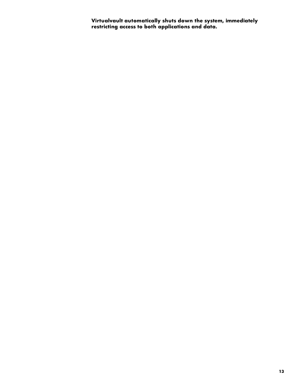**Virtualvault automatically shuts down the system, immediately restricting access to both applications and data.**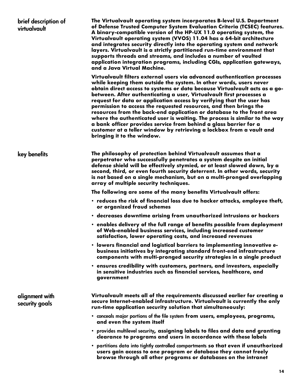| brief description of<br>virtualvault | The Virtualvault operating system incorporates B-level U.S. Department<br>of Defense Trusted Computer System Evaluation Criteria (TCSEC) features.<br>A binary-compatible version of the HP-UX 11.0 operating system, the<br>Virtualvault operating system (VVOS) 11.04 has a 64-bit architecture<br>and integrates security directly into the operating system and network<br>layers. Virtualvault is a strictly partitioned run-time environment that<br>supports threads and streams, and includes a number of vaulted<br>application integration programs, including CGIs, application gateways,<br>and a Java Virtual Machine.                                                                                                                                                   |
|--------------------------------------|---------------------------------------------------------------------------------------------------------------------------------------------------------------------------------------------------------------------------------------------------------------------------------------------------------------------------------------------------------------------------------------------------------------------------------------------------------------------------------------------------------------------------------------------------------------------------------------------------------------------------------------------------------------------------------------------------------------------------------------------------------------------------------------|
|                                      | Virtualvault filters external users via advanced authentication processes<br>while keeping them outside the system. In other words, users never<br>obtain direct access to systems or data because Virtualvault acts as a go-<br>between. After authenticating a user, Virtualvault first processes a<br>request for data or application access by verifying that the user has<br>permission to access the requested resources, and then brings the<br>resources from the back-end application or database to the front area<br>where the authenticated user is waiting. The process is similar to the way<br>a bank officer provides service from behind a glass barrier for a<br>customer at a teller window by retrieving a lockbox from a vault and<br>bringing it to the window. |
| key benefits                         | The philosophy of protection behind Virtualvault assumes that a<br>perpetrator who successfully penetrates a system despite an initial<br>defense shield will be effectively stymied, or at least slowed down, by a<br>second, third, or even fourth security deterrent. In other words, security<br>is not based on a single mechanism, but on a multi-pronged overlapping<br>array of multiple security techniques.                                                                                                                                                                                                                                                                                                                                                                 |
|                                      | The following are some of the many benefits Virtualvault offers:                                                                                                                                                                                                                                                                                                                                                                                                                                                                                                                                                                                                                                                                                                                      |
|                                      | • reduces the risk of financial loss due to hacker attacks, employee theft,<br>or organized fraud schemes                                                                                                                                                                                                                                                                                                                                                                                                                                                                                                                                                                                                                                                                             |
|                                      | • decreases downtime arising from unauthorized intrusions or hackers                                                                                                                                                                                                                                                                                                                                                                                                                                                                                                                                                                                                                                                                                                                  |
|                                      | • enables delivery of the full range of benefits possible from deployment<br>of Web-enabled business services, including increased customer<br>satisfaction, lower operating costs, and increased revenues                                                                                                                                                                                                                                                                                                                                                                                                                                                                                                                                                                            |
|                                      | • lowers financial and logistical barriers to implementing innovative e-<br>business initiatives by integrating standard front-end infrastructure<br>components with multi-pronged security strategies in a single product                                                                                                                                                                                                                                                                                                                                                                                                                                                                                                                                                            |
|                                      | • ensures credibility with customers, partners, and investors, especially<br>in sensitive industries such as financial services, healthcare, and<br>government                                                                                                                                                                                                                                                                                                                                                                                                                                                                                                                                                                                                                        |
| alignment with<br>security goals     | Virtualvault meets all of the requirements discussed earlier for creating a<br>secure Internet-enabled infrastructure. Virtualvault is currently the only<br>run-time application security solution that simultaneously:                                                                                                                                                                                                                                                                                                                                                                                                                                                                                                                                                              |
|                                      | • conceals major portions of the file system from users, employees, programs,<br>and even the system itself                                                                                                                                                                                                                                                                                                                                                                                                                                                                                                                                                                                                                                                                           |
|                                      | • provides multilevel security, assigning labels to files and data and granting<br>clearance to programs and users in accordance with these labels                                                                                                                                                                                                                                                                                                                                                                                                                                                                                                                                                                                                                                    |
|                                      | • partitions data into tightly controlled compartments so that even if unauthorized<br>users gain access to one program or database they cannot freely<br>browse through all other programs or databases on the intranet                                                                                                                                                                                                                                                                                                                                                                                                                                                                                                                                                              |
|                                      |                                                                                                                                                                                                                                                                                                                                                                                                                                                                                                                                                                                                                                                                                                                                                                                       |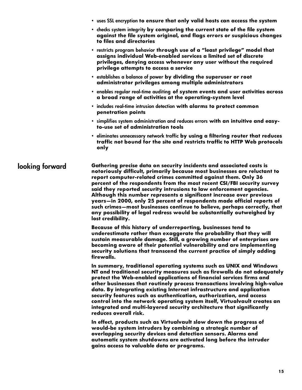- uses SSL encryption **to ensure that only valid hosts can access the system**
- checks system integrity **by comparing the current state of the file system against the file system original, and flags errors or suspicious changes to files and directories**
- restricts program behavior **through use of a "least privilege" model that assigns individual Web-enabled services a limited set of discrete privileges, denying access whenever any user without the required privilege attempts to access a service**
- establishes a balance of power **by dividing the superuser or root administrator privileges among multiple administrators**
- enables regular real-time auditing **of system events and user activities across a broad range of activities at the operating-system level**
- includes real-time intrusion detection **with alarms to protect common penetration points**
- simplifies system administration and reduces errors **with an intuitive and easyto-use set of administration tools**
- eliminates unnecessary network traffic **by using a filtering router that reduces traffic not bound for the site and restricts traffic to HTTP Web protocols only**

looking forward **Gathering precise data on security incidents and associated costs is notoriously difficult, primarily because most businesses are reluctant to report computer-related crimes committed against them. Only 36 percent of the respondents from the most recent CSI/FBI security survey said they reported security intrusions to law enforcement agencies. Although this number represents a significant increase over previous years—in 2000, only 25 percent of respondents made official reports of such crimes—most businesses continue to believe, perhaps correctly, that any possibility of legal redress would be substantially outweighed by lost credibility.**

> **Because of this history of underreporting, businesses tend to underestimate rather than exaggerate the probability that they will sustain measurable damage. Still, a growing number of enterprises are becoming aware of their potential vulnerability and are implementing security solutions that transcend the current practice of simply adding firewalls.**

**In summary, traditional operating systems such as UNIX and Windows NT and traditional security measures such as firewalls do not adequately protect the Web-enabled applications of financial services firms and other businesses that routinely process transactions involving high-value data. By integrating existing Internet infrastructure and application security features such as authentication, authorization, and access control into the network operating system itself, Virtualvault creates an integrated and multi-layered security architecture that significantly reduces overall risk.**

**In effect, products such as Virtualvault slow down the progress of would-be system intruders by combining a strategic number of overlapping security devices and detection sensors. Alarms and automatic system shutdowns are activated long before the intruder gains access to valuable data or programs.**